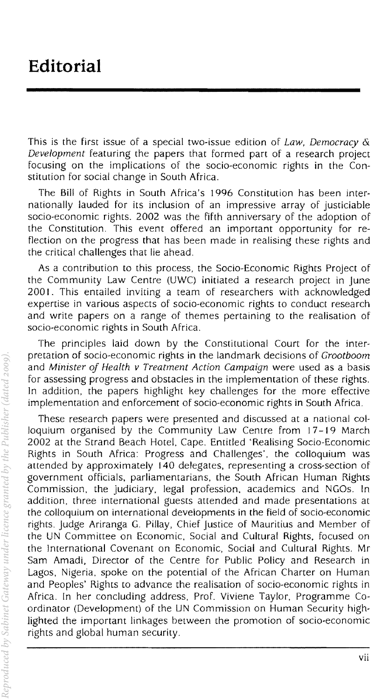This is the first issue of a special two-issue edition of *Law, Democracy* & *Development* featuring the papers that formed part of a research project focusing on the implications of the socio-economic rights in the Constitution for social change in South Africa.

The Bill of Rights in South Africa's 1996 Constitution has been internationally lauded for its inclusion of an impressive array of justiciable socio-economic rights. 2002 was the fifth anniversary of the adoption of the Constitution. This event offered an important opportunity for reflection on the progress that has been made in realising these rights and the critical challenges that lie ahead.

As a contribution to this process, the Socio-Economic Rights Project of the Community Law Centre (UWC) initiated a research project in June 2001. This entailed inviting a team of researchers with acknowledged expertise in various aspects of socio-economic rights to conduct research and write papers on a range of themes pertaining to the realisation of socio-economic rights in South Africa.

The principles laid down by the Constitutional Court for the interpretation of socio-economic rights in the landmark decisions of *Grootboom*  and *Minister oj Health v Treatment Action Campaign* were used as a basis for assessing progress and obstacles in the implementation of these rights. In addition, the papers highlight key challenges for the more effective implementation and enforcement of socio-economic rights in South Africa.

These research papers were presented and discussed at a national colloquium organised by the Community Law Centre from 17-19 March 2002 at the Strand Beach Hotel, Cape. Entitled 'Realising Socio-Economic Rights in South Africa: Progress and Challenges', the colloquium was attended by approximately 140 delegates, representing a cross-section of government officials, parliamentarians, the South African Human Rights Commission, the judiciary. legal profession, academics and NGOs. In addition. three international guests attended and made presentations at the colloquium on international developments in the field of socio-economic rights. Judge Ariranga G. Pillay, Chief Justice of Mauritius and Member of the UN Committee on Economic. Social and Cultural Rights. focused on the International Covenant on Economic, Social and Cultural Rights. Mr Sam Amadi, Director of the Centre for Public Policy and Research in Lagos, Nigeria. spoke on the potential of the African Charter on Human and Peoples' Rights to advance the realisation of socio-economic rights in Africa. In her concluding address. Prof. Viviene Taylor, Programme Coordinator (Development) of the UN Commission on Human Security highlighted the important linkages between the promotion of socio-economic rights and global human security.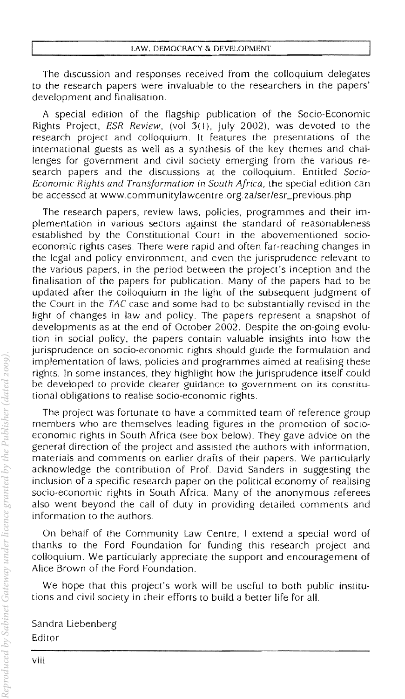The discussion and responses received from the colloquium delegates to the research papers were invaluable to the researchers in the papers' development and finalisation.

A special edifion of the flagship publication of the Socio-Economic Rights Project, *ESR Review*, (vol 3(1), July 2002), was devoted to the research project and colloquium. It features the presentations of the international guests as well as a synthesis of the key themes and challenges for government and civil society emerging from the various research papers and the discussions at the colloquium. Entitled *Socio-Economic Rights and Transformation in South Africa,* the special edition can be accessed at www.communitylawcentre.org.za/ser/esr\_previous.php

The research papers, review laws. policies, programmes and their implementation in various sectors against the standard of reasonableness established by the Constitutional Court in the abovementioned socioeconomic rights cases. There were rapid and often far-reaching changes in the legal and policy environment, and even the jurisprudence relevant to the various papers, in the period between the project's inception and the finalisation of the papers for publication. Many of the papers had to be updated after the colloquium in rhe light of the subsequent judgment of the Court in the TAC case and some had to be substantially revised in the light of changes in law and policy, The papers represent a snapshot of developments as at the end of October 2002, Despite the on-going evolution in social policy, the papers contain valuable insights into how the jurisprudence on socio-economic rights should guide the formulation and implementation of laws, policies and programmes aimed at realising these rights, In some instances, they highlight how the jurisprudence itself could be developed to provide clearer guidance to government on its constitutional obligations to realise socio-economic rights,

The project was fortunate to have a committed team of reference group members who are themselves leading figures in the promotion of socioeconomic rights in South Africa (see box below). They gave advice on the general direction of the project and assisted the authors with information, materials and comments on earlier drafts of their papers, We particularly acknowledge the contribution of Prof. David Sanders in suggesting the inclusion of a specific research paper on the political economy of realising socio-economic rights in South Africa. Many of the anonymous referees also went beyond the call of duty in providing detailed comments and information to the authors.

On behalf of the Community Law Centre, I extend a special word of thanks to the Ford Foundation for funding this research project and colloquium. We particularly appreciate the support and encouragement of Alice Brown of the Ford Foundation.

We hope that this project's work will be useful to both public institutions and civil society in their efforts to build a better life for all.

Sandra Liebenberg Editor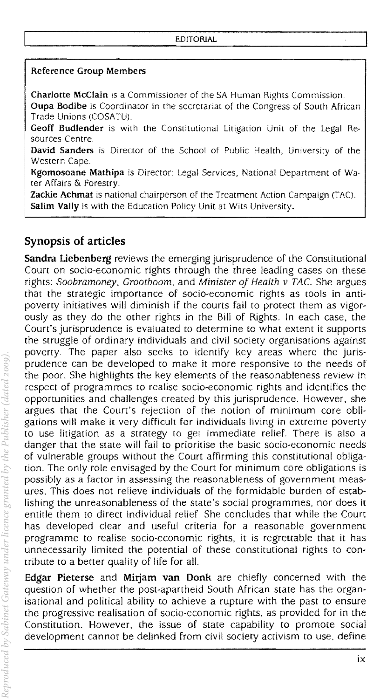## Reference Group Members

Charlotte McClain is a Commissioner of the SA Human Rights Commission, Oupa Bodibe is Coordinator in the secretariat of the Congress of South African Trade Unions (COSATU)

Geoff Budlender is with the Constitutional Litigation Unit of the Legal Resources Centre.

David Sanders is Director of the School of Public Health, University of the Western Cape.

Kgomosoane Mathipa is Director: Legal Services, National Department of Water Affairs & Forestry.

**Zackie Achmat** is national chairperson of the Treatment Action Campaign (TAC). Salim Vally is with the Education Policy Unit at Wits University.

# Synopsis of articles

Sandra Liebenberg reviews the emerging jurisprudence of the Constitutional Court on socio-economic rights through the three leading cases on these rights: Soobramoney, Grootboom, and Minister of Health v TAC. She argues that the strategic importance of socio-economic rights as tools in antipoverty initiatives will diminish if the courts fail to protect them as vigorously as they do the other rights in the Bill of Rights, In each case, the Court's jurisprudence is evaluated to determine to what extent it supports the struggle of ordinary individuals and civil society organisations against poverty. The paper also seeks to identify key areas where the jurisprudence can be developed to make it more responsive to the needs of the poor. She highlights the key elements of the reasonableness review in respect of programmes to realise socio-economic rights and identifies the opportunities and challenges created by this jurisprudence. However, she argues that the Court's rejection of the notion of minimum core obligations will make it very difficult for indiViduals living in extreme poverty to use litigation as a strategy to get immediate relief, There is also a danger that the state will fail to prioritise the basic socio-economic needs of vulnerable groups without the Court affirming this constitutional obligation. The only role envisaged by the Court for minimum core obligations is possibly as a factor in assessing the reasonableness of government measures. This does not relieve individuals of the Formidable burden of establishing the unreasonableness of the state's social programmes, nor does it entitle them to direct individual relief. She concludes that while the Court has developed clear and useful criteria for a reasonable government programme to realise socio-economic rights, it is regrettable that it has unnecessarily limited the potential of these constitutional rights to contribute to a better quality of life for all.

Edgar Pieterse and Mirjam van Donk are chiefly concerned with the question of whether the post-apartheid South African state has the organisational and political ability to achieve a rupture with the past to ensure the progressive realisation of socio-economic rights, as provided for in the Constitution. However, the issue of state capability to promote social development cannot be delinked from civil society activism to use, define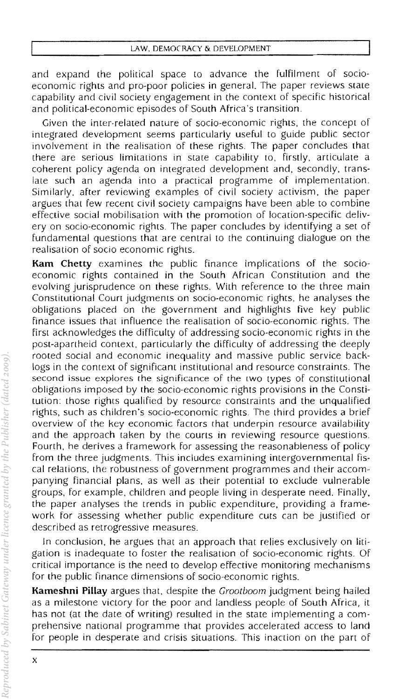and expand the political space to advance the fulfilment of socioeconomic rights and pro-poor policies in general. The paper reviews state capability and civil society engagement in the context of specific historical and political-economic episodes of South Africa's transition.

Given the inter-related nature of socio-economic rights, the concept of integrated development seems particularly useful to guide public sector involvement in the realisation of these rights. The paper concludes that there are serious limitations in state capability to, firstly, articulate a coherent policy agenda on integrated development and. secondly. translate such an agenda into a practical programme of implementation. Similarly. after reviewing examples of civil society activism. the paper argues that few recent civil society campaigns have been able to combine effective social mobilisation with the promotion of location-specific delivery on socio-economic rights. The paper concludes by identifying a set of fundamental questions that are central to the continuing dialogue on the realisation of socio economic rights.

**Kam Chetty** examines the public finance implications of the socioeconomic rights contained in the South African Constitution and the evolving jurisprudence on these rights. With reference to the three main Constitutional Court judgments on socio-economic rights. he analyses the obligations placed on the government and highlights five key public finance issues that influence the realisation of socio-economic rights. The first acknowledges the difficulty of addressing socio-economic rights in the post-apartheid context, particularly the difficulty of addressing the deeply rooted social and economic inequality and massive public service backlogs in the context of significant institutional and resource constraints. The second issue explores the significance of the two types of constitutional obligations imposed by the socio-economic rights provisions in the Constitution: those rights qualified by resource constraints and the unqualified rights, such as children's socio-economic rights. The third provides a brief overview of the key economic factors that underpin resource availability and the approach taken by the courts in reviewing resource questions. Fourth. he derives a Framework for assessing the reasonableness of policy from the three judgments. This includes examining intergovernmental fiscal relations. the robustness of government programmes and their accompanying financial plans, as well as their potential to exclude vulnerable groups, for example, children and people living in desperate need. Finally, the paper analyses the trends in public expenditure, providing a framework for assessing whether public expenditure cuts can be justified or described as retrogressive measures.

In conclusion, he argues that an approach that relies exclusively on litigation is inadequate to foster the realisation of socio-economic rights. Of critical importance is the need to develop effective monitoring mechanisms for the public finance dimensions of socio-economic rights.

**Kameshni Pillay** argues that, despite the Grootboom judgment being hailed as a milestone victory for the poor and landless people of South Africa, it has not (at the date of writing) resulted in the state implementing a comprehensive national programme that provides accelerated access to land for people in desperate and crisis situations. This inaction on the part of

x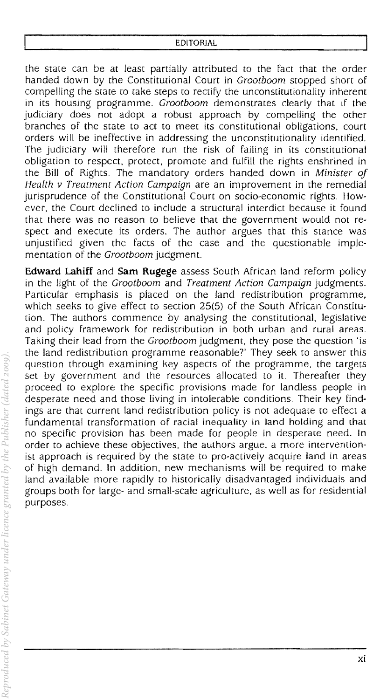### EDITORJAL

the state can be at least partially attributed to the Fact that the order handed down by the Constitutional Court in *Grootboom* stopped short of compelling the state to take steps to rectify the unconstitutionality inherent in its housing programme, *Grootboom* demonstrates clearly that if the judiciary does not adopt a robust approach by compelling the other branches of the state to act to meet its constitutional obligations, court orders will be ineffective in addressing the unconstitutionality identified, The judiciary will therefore run the risk of failing in its constitutional obligation to respect, protect, promote and fulfill the rights enshrined in the Bill of Rights, The mandatory orders handed down in *Minister of Health v Treatment Action Campaign* are an improvement in the remedial jurisprudence of the Constitutional Court on socio-economic rights. However, the Court declined to include a structural interdict because **it** found that there was no reason to believe that the government would not respect and execute its orders, The author argues that this stance was unjustified given the facts of the case and the questionable implementation of the *Grootboom* judgment.

**Edward Lahiff** and **Sam Rugege** assess South African land reform policy in the light of the *Grootboom* and *Treatment Action Campaign* judgments. Particular emphasis is placed on the land redistribution programme, which seeks to give effect to section 25(5) of the South African Constitution, The authors commence by analysing the constitutional, legislative and policy framework for redistribution in both urban and rural areas. Taking their lead from the *Grootboom* judgment, they pose the question 'is the land redistribution programme reasonable?' They seek to answer this question through examining key aspects of the programme, the targets set by government and the resources allocated to it. Thereafter they proceed to explore the specific provisions made for landless people in desperate need and those living in intolerable conditions, Their key findings are that current land redistribution policy is not adequate to effect a fundamental transformation of racial inequality in land holding and that no specific provision has been made for people in desperate need, In order to achieve these objectives, the authors argue, a more interventionist approach is required by the state to pro-actively acquire land in areas of high demand. In addition, new mechanisms will be required to make land available more rapidly to historically disadvantaged individuals and groups both for large- and small-scale agriculture, as well as for residential purposes.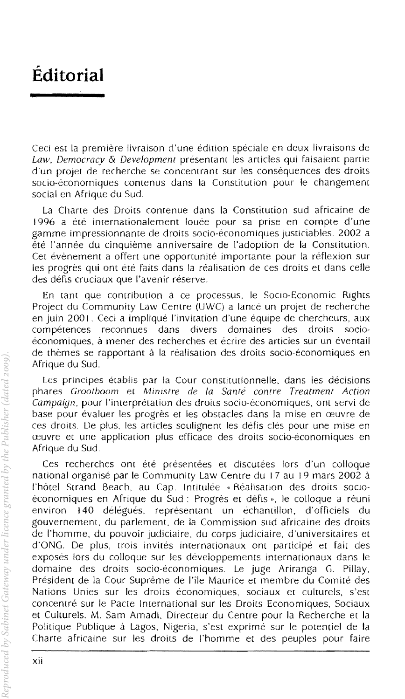# **Editorial**

Ceci est la premiere livraison d'une edition speciale en deux livraisons de *Law, Democracy* & *Development* presentant les articles qui faisaient panie d'un projet de recherche se concentrant sur les consequences des droits socio-économiques contenus dans la Constitution pour le changement social en Afrique du Sud.

La Charte des Oroits contenue dans la Constitution sud africaine de 1996 a ete internationalement louee pour sa prise en compte d'une gamme impressionnante de droits socio-economiques jusriciables. 2002 a ere I'annee du cinquieme anniversaire de I'adoption de la Constitution. Cet evenement a offert une opportunité importante pour la réflexion sur les progres qui ont ete faits dans la realisation de ces droits et dans celie des défis cruciaux que l'avenir réserve.

En tant que contribution a ce processus, Ie Socio-Economic Rights Project du Community Law Centre (UWC) a lance un projet de recherche en juin 2001. Ceci a implique I'invitation d'une equipe de chercheurs, aux competences reconnues dans divers domaines des droits socioéconomiques, à mener des recherches et écrire des articles sur un eventail de thèmes se rapportant à la réalisation des droits socio-économiques en Afrique du Sud.

Les principes établis par la Cour constitutionnelle, dans les décisions phares *Grootboom* et *Minrstre de la Sante contre Treatment Action Campaign,* pour I'interpretation des droits socio-economiques, ont servi de base pour evaluer les progres et les obstacles dans la mise en ceuvre de ces droits. De plus, les articles soulignent les defis cles pour une mise en ceuvre et une application plus efficace des droits socio-economiques en Afrique du Sud.

Ces recherches ont été présentées et discutées lors d'un colloque national organise par Ie Community Law Centre du 17 au 19 mars 2002 a l'hôtel Strand Beach, au Cap. Intitulée « Réalisation des droits socioeconomiques en Afrique du Sud: Progres et defis », Ie coUoque a reuni environ 140 délégués, représentant un echantillon, d'officiels gouvernement, du parlement, de la Commission sud africaine des droits de I'homme, du pouvoir judiciaire, du corps judiciaire, d'universitaires et d'ONG. De plus, trois invites inrernationaux ont participe et fait des exposes lors du colloque sur les developpements internationaux dans Ie domaine des droits socio-economiques. Le juge Ariranga G. Pillay, President de la Cour Supreme de I'ile Maurice et membre du Comite des Nations Unies sur les droits economiques, sociaux et culturels, s'est concentre sur Ie Pacte Imernational sur les Oroits Economiques, Sociaux et Culturels. M. Sam Amadi. Oirecteur du Cemre pour la Recherche et la Politique Publique a Lagos, Nigeria, s'est exprime sur Ie potentiel de la Charte africaine sur les droits de l'homme et des peuples pour faire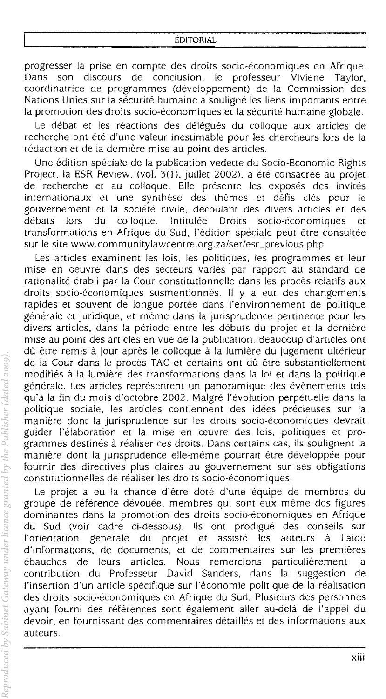#### EDITORIAL

progresser la prise en compte des droits socio-economiques en Afrique. Dans son discours de conclusion, Ie professeur Viviene Taylor, coordinatrice de programmes (developpement) de la Commission des Nations Unies sur la sécurité humaine a souligné les liens importants entre la promotion des droits socio-économiques et la sécurité humaine globale.

Le débat et les réactions des délégués du colloque aux articles de recherche ont été d'une valeur inestimable pour les chercheurs lors de la rédaction et de la dernière mise au point des articles.

Une edition speciale de la publication vedette du Socio-Economic Rights Project, la ESR Review, (vol. 3(1), juillet 2002), a été consacrée au projet de recherche et au colloque. Elle presente les exposes des invites internationaux et une synthèse des thèmes et défis clés pour le gouvernement et la societe civile, decoulant des divers articles et des debats lors du colloque. Intitulee Droits socio-economiques et transformations en Afrique du Sud, l'édition spéciale peut être consultée sur le site www.communitylawcentre.org.za/ser/esr\_previous.php

Les articles examinent les lois, les politiques, les programmes et leur mise en oeuvre dans des secteurs varies par rapport au standard de rationalité établi par la Cour constitutionnelle dans les procès relatifs aux droits socio-économiques susmentionnés. Il y a eut des changements rapides et souvent de longue portée dans l'environnement de politique générale et juridique, et même dans la jurisprudence pertinente pour les divers articles, dans la periode entre les debuts du projet et la derniere mise au point des articles en vue de la publication. Beaucoup d'articles ont dù être remis à jour après le colloque à la lumière du jugement ultérieur de la Cour dans le procès TAC et certains ont dû être substantiellement modifies a la lumiere des transformations dans la loi et dans la politique générale. Les articles représentent un panoramique des évènements tels qu'a la fin du mois d'octobre 2002. Malgre I'evolution perpetuelle dans la politique sociale, les articles contiennent des idées précieuses sur la manière dont la jurisprudence sur les droits socio-économiques devrait guider l'eiaboration et la mise en ceuvre des lois, politiques et programmes destinés à réaliser ces droits. Dans certains cas, ils soulignent la maniere dont la jurisprudence elle-meme pourrait etre developpee pour fournir des directives plus claires au gouvernement sur ses obligations constitutionnelles de réaliser les droits socio-économiques.

Le projet a eu la chance d'être doté d'une équipe de membres du groupe de référence dévouée, membres qui sont eux même des figures dominantes dans la promotion des droits socio-economiques en Afrique du Sud (voir cadre ci-dessous). lis ont prodigue des conseils sur l'orientation générale du projet et assisté les auteurs à l'aide d'informations, de documents, et de commentaires sur les premieres ebauches de leurs articles. Nous remercions particulierement la contribution du ProFesseur David Sanders, dans la suggestion de l'insertion d'un article spécifique sur l'économie politique de la réalisation des droits socio-économiques en Afrique du Sud. Plusieurs des personnes avant fourni des références sont également aller au-delà de l'appel du devoir, en Fournissant des commentaires detailles et des inFormations aux auteurs.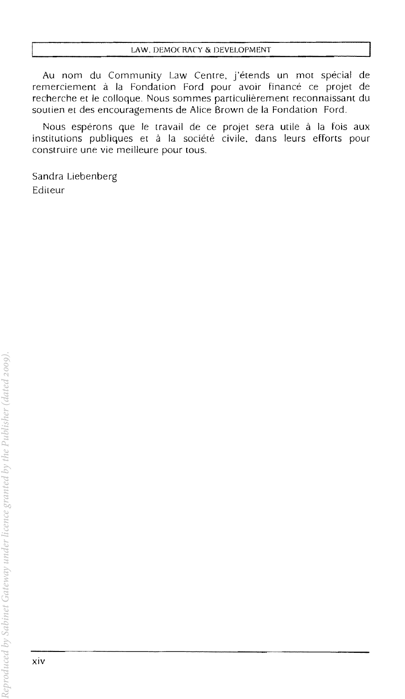Au nom du Community Law Centre, j'etends un mot special de remerciement à la Fondation Ford pour avoir financé ce projet de recherche et Ie colloque, Nous sommes particulierement reconnaissant du soutien et des encouragements de Alice Brown de la Fondation Ford.

Nous espérons que le travail de ce projet sera utile à la fois aux institutions publiques et à la société civile, dans leurs efforts pour construire une vie meilleure pour tous.

Sandra Liebenberg Editeur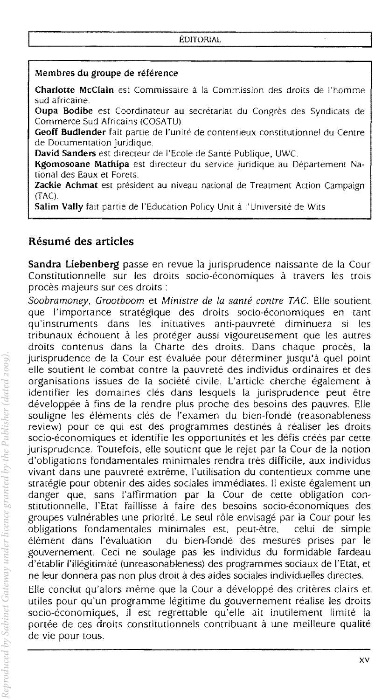## Membres du groupe de référence

Charlotte McClain est Commissaire à la Commission des droits de l'homme sud africaine.

Oupa Bodibe est Coordinateur au secretariat du Congres des Syndicats de Commerce Sud Africains (COSATU)

Geoff Budlender fait partie de l'unité de contentieux constitutionnel du Centre de Documentation juridique.

David Sanders est directeur de l'Ecole de Santé Publique, UWC.

Kgomosoane Mathipa est directeur du service juridique au Departement National des Eaux et Forets.

Zackie Achmat est président au niveau national de Treatment Action Campaign  $(TAC)$ .

Salim Vally fait partie de l'Education Policy Unit à l'Université de Wits

## **Resume des articles**

Sandra Liebenberg passe en revue la jurisprudence naissante de la Cour Constitutionnelle sur les droits socio-économiques à travers les trois procès majeurs sur ces droits :

Soobramoney, Grootboom et Ministre de la santé contre TAC. Elle soutient que l'importance stratégique des droits socio-économiques en tant qu'instruments dans les initiatives anti-pauvrete diminuera si les tribunaux échouent à les protéger aussi vigoureusement que les autres droits contenus dans la Charte des droits. Dans chaque proces, la jurisprudence de la Cour est évaluée pour déterminer jusqu'à quel point elle soutient le combat contre la pauvreté des individus ordinaires et des organisations issues de la société civile. L'article cherche également à identifier les domaines clés dans lesquels la jurisprudence peut être développée à fins de la rendre plus proche des besoins des pauvres. Elle souligne les éléments clés de l'examen du bien-fondé (reasonableness review) pour ce qUi est des programmes destines a realiser les droits socio-économiques et identifie les opportunités et les défis créés par cette jurisprudence. Toutefois, elle soutient que le rejet par la Cour de la notion d'obligations fondamentales minimales rendra tres diffieile. aux individus vivant dans une pauvreté extrême, l'utilisation du contentieux comme une strategie pour obtenir des aides soeiales immediates. II existe egalement un danger que, sans I'affirmation par la Cour de cerre obligation eonstitutionnelle, l'Etat faillisse à faire des besoins socio-économiques des groupes vulnérables une priorité. Le seul rôle envisagé par la Cour pour les obligations fondamentales minimales est, peut-etre, eelui de simple element dans I'evaluation du bien-fonde des mesures prises par Ie gouvernement. Ceci ne soulage pas les individus du formidable fardeau d'etabllr I'illegitimite (unreasonableness) des programmes sociaux de l'Etat, et ne leur donnera pas non plus droit a des aides sodales individuelles directes.

Elle eonclut qu'alors meme que la Cour a developpe des criteres clairs et utiles pour qu'un programme legitime du gouvernement realise les droits socio-économiques, il est regrettable qu'elle ait inutilement limité la portée de ces droits constitutionnels contribuant à une meilleure qualité de vie pour tous.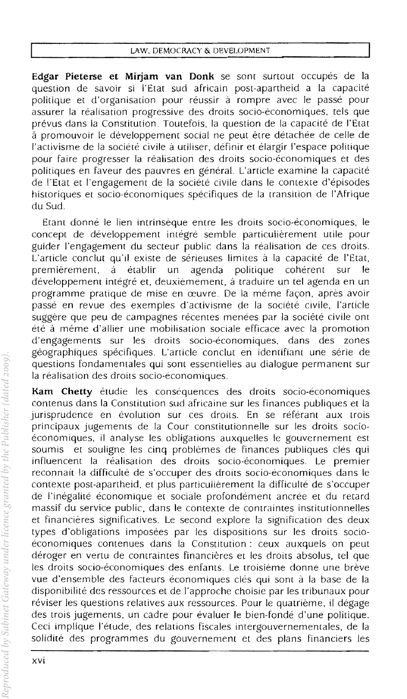Edgar Pieterse et Mirjam van Donk se sont surtout occupés de la question de savoir si l'Etat sud africain post-apartheid a la capacité politique et d'organisation pour réussir à rompre avec le passé pour assurer la réalisation progressive des droits socio-économiques, tels que prévus dans la Constitution. Toutefois, la question de la capacité de l'Etat à promouvoir le développement social ne peut être détachée de celle de I'activisme de la societe civile a uriliser, definir et elargir I'espace politique pour faire progresser la réalisation des droits socio-économiques et des politiques en faveur des pauvres en general. L'article examine la capacite de l'Etat et I'engagement de la societe civile dans Ie contexte d'episodes historiques et socio-economiques specifiques de la transition de l'Afrique du Sud.

Etant donné le lien intrinsèque entre les droits socio-économiques, le concept de développement intégré semble particulièrement utile pour guider I'engagement du secteur public dans la realisation de ces droits. L'article conclut qu'il existe de sérieuses limites à la capacité de l'Etat,<br>premièrement, à établir un agenda politique cohérent sur le premierement, a etablir un agenda politique coherent sur Ie développement intégré et, deuxièmement, à traduire un tel agenda en un programme pratique de mise en œuvre. De la même façon, après avoir passe en revue des exemples d'activisrne de la societe civile, I'article suggere que peu de campagnes recentes menees par la societe civile ont été à même d'allier une mobilisation sociale efficace avec la promotion<br>d'engagements sur les droits socio-économiques, dans des zones d'engagements sur les droits socio-economiques, dans des zones geographiques specifiques. L'article conclut en idcntifiant une serie de questions fondamentales qui sont essentielles au dialogue permanent sur la réalisation des droits socio-économiques.

Kam Chetty étudie les conséquences des droits socio-économiques contenus dans la Constitution sud africaine sur les finances publiques et la jurisprudence en évolution sur ces droits. En se référant aux trois principaux jugements de la Cour constitutionnelle sur les droits socioeconomiques. il analyse les obligations auxquelles Ie gouvernement est soumis et souligne les cinq problemes de finances publiques cles qui influencent la réalisation des droits socio-économiques. Le premier reconnait la difficulté de s'occuper des droits socio-économiques dans le contexte post-apartheid, et plus particulièrement la difficulté de s'occuper de l'inegalite economique et sociale profondement ancree et du retard massif du service public, dans Ie contexte de contraintes institurionnelles et financieres significarives. Le second explore la signification des deux types d'obligations imposees par les dispositions sur les droits socioeconomiques contenues dans la Constitution: ceux auxquels on peut déroger en vertu de contraintes financières et les droits absolus, tel que les droits socio-économiques des enfants. Le troisième donne une brève vue d'ensemble des Facteurs economiques cles qui sont a la base de la disponibilite des ressources et de I'approche choisie par les tribunaux pour réviser les questions relatives aux ressources. Pour le quatrième, il dégage des trois jugements, un cadre pour évaluer le bien-fondé d'une politique. Ceci implique l'etude, des relations fiscales intergouvernementales. de la solidité des programmes du gouvernement et des plans financiers les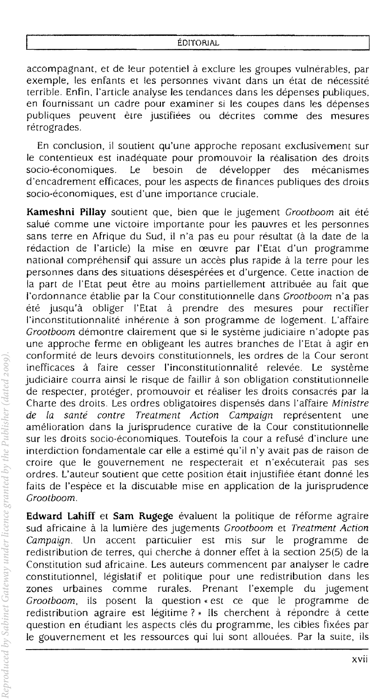accompagnant, et de leur potentiel à exclure les groupes vulnérables, par exemple, les enfants et les personnes vivant dans un état de nécessité terrible. Enfin, I'artide analyse les tendances dans les depenses publiques, en fournissant un cadre pour examiner si les coupes dans les depenses publiques peuvent etre justifiees ou decrites comme des mesures rétrogrades.

En conclusion, il soutient qu'une approche reposant exclusivement sur le contentieux est inadéquate pour promouvoir la réalisation des droits socio-économiques. Le besoin de développer des mécanismes d'encadrement efficaces, pour les aspects de finances publiques des droits socio-économiques, est d'une importance cruciale.

**Kameshni Pillay** soutient que, bien que Ie jugement Grootboom ait ete salué comme une victoire importante pour les pauvres et les personnes sans terre en Afrique du Sud, il n'a pas eu pour résultat (à la date de la redaction de I'article) la mise en ceuvre par l'Etat d'un programme national compréhensif qui assure un accès plus rapide à la terre pour les personnes dans des situations désespérées et d'urgence. Cette inaction de la part de l'Etat peut être au moins partiellement attribuée au fait que I'ordonnance etablie par la Cour constitutionnelle dans Grootboom n'a pas ete jusqu'a obliger l'Etat a prendre des mesures pour rectifier I'inconstitutionnalite inherente a son programme de logement. L'affaire Grootboom demontre clairement que si le système judiciaire n'adopte pas une approche ferme en obligeant les autres branches de I'Etat a agir en conformite de leurs devoirs constitutionnels, les ordres de la Cour seront inefficaces à faire cesser l'inconstitutionnalité relevée. Le système judiciaire courra ainsi le risque de faillir à son obligation constitutionnelle de respecter, protéger, promouvoir et réaliser les droits consacrés par la Charte des droits. Les ordres obligatoires dispensés dans l'affaire Ministre<br>de la santé contre Treatment Action Campaign représentent une de la santé contre Treatment Action Campaign représentent une amelioration dans la jurisprudence curative de la Cour constitutionnelle sur les droits socio-économiques. Toutefois la cour a refusé d'inclure une interdiction fondamentale car elle a estimé qu'il n'y avait pas de raison de croire que Ie gouvernement ne respecterait et n'executerait pas ses ordres. L'auteur soutient que cette position était injustifiée étant donné les faits de l'espece et la discutable mise en application de la jurisprudence Grootboom.

Edward Lahiff et Sam Rugege évaluent la politique de réforme agraire sud africaine à la lumière des jugements Grootboom et Treatment Action Campaign. Un accent particulier est mis sur Ie programme de redistribution de terres, qui cherche à donner effet à la section 25(5) de la Constitution sud africaine. Les auteurs commencent par analyser Ie cadre constitutionnel, legislatif et politique pour une redistribution dans les zones urbaines comme rurales. Prenant I'exemple du jugement Grootboom, ils posent la question « est ce que le programme de redistribution agraire est légitime ? » Ils cherchent à répondre à cette question en étudiant les aspects clés du programme, les cibles fixées par le gouvernement et les ressources qui lui sont allouées. Par la suite, ils